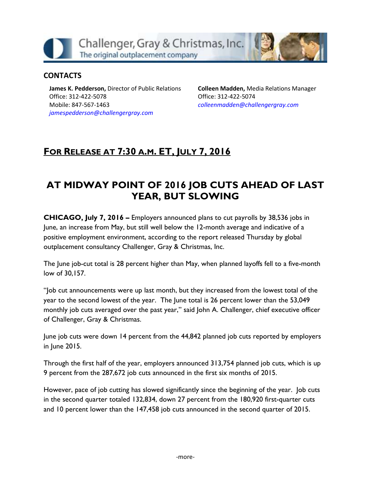Challenger, Gray & Christmas, Inc. The original outplacement company

### **CONTACTS**

**James K. Pedderson,** Director of Public Relations Office: 312-422-5078 Mobile: 847-567-1463 *[jamespedderson@challengergray.com](mailto:jamespedderson@challengergray.com)*

**Colleen Madden,** Media Relations Manager Office: 312-422-5074 *[colleenmadden@challengergray.com](mailto:colleenmadden@challengergray.com)*

# **FOR RELEASE AT 7:30 A.M. ET, JULY 7, 2016**

# **AT MIDWAY POINT OF 2016 JOB CUTS AHEAD OF LAST YEAR, BUT SLOWING**

**CHICAGO, July 7, 2016 –** Employers announced plans to cut payrolls by 38,536 jobs in June, an increase from May, but still well below the 12-month average and indicative of a positive employment environment, according to the report released Thursday by global outplacement consultancy Challenger, Gray & Christmas, Inc.

The June job-cut total is 28 percent higher than May, when planned layoffs fell to a five-month low of 30,157.

"Job cut announcements were up last month, but they increased from the lowest total of the year to the second lowest of the year. The June total is 26 percent lower than the 53,049 monthly job cuts averaged over the past year," said John A. Challenger, chief executive officer of Challenger, Gray & Christmas.

June job cuts were down 14 percent from the 44,842 planned job cuts reported by employers in June 2015.

Through the first half of the year, employers announced 313,754 planned job cuts, which is up 9 percent from the 287,672 job cuts announced in the first six months of 2015.

However, pace of job cutting has slowed significantly since the beginning of the year. Job cuts in the second quarter totaled 132,834, down 27 percent from the 180,920 first-quarter cuts and 10 percent lower than the 147,458 job cuts announced in the second quarter of 2015.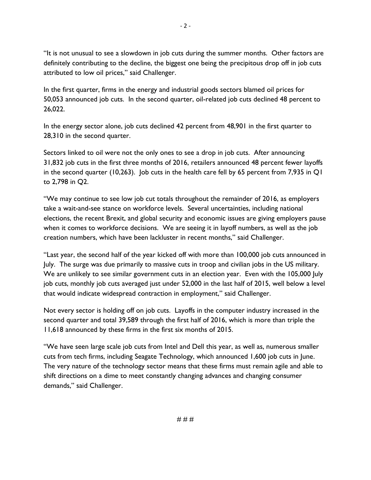"It is not unusual to see a slowdown in job cuts during the summer months. Other factors are definitely contributing to the decline, the biggest one being the precipitous drop off in job cuts attributed to low oil prices," said Challenger.

In the first quarter, firms in the energy and industrial goods sectors blamed oil prices for 50,053 announced job cuts. In the second quarter, oil-related job cuts declined 48 percent to 26,022.

In the energy sector alone, job cuts declined 42 percent from 48,901 in the first quarter to 28,310 in the second quarter.

Sectors linked to oil were not the only ones to see a drop in job cuts. After announcing 31,832 job cuts in the first three months of 2016, retailers announced 48 percent fewer layoffs in the second quarter (10,263). Job cuts in the health care fell by 65 percent from 7,935 in Q1 to 2,798 in Q2.

"We may continue to see low job cut totals throughout the remainder of 2016, as employers take a wait-and-see stance on workforce levels. Several uncertainties, including national elections, the recent Brexit, and global security and economic issues are giving employers pause when it comes to workforce decisions. We are seeing it in layoff numbers, as well as the job creation numbers, which have been lackluster in recent months," said Challenger.

"Last year, the second half of the year kicked off with more than 100,000 job cuts announced in July. The surge was due primarily to massive cuts in troop and civilian jobs in the US military. We are unlikely to see similar government cuts in an election year. Even with the 105,000 July job cuts, monthly job cuts averaged just under 52,000 in the last half of 2015, well below a level that would indicate widespread contraction in employment," said Challenger.

Not every sector is holding off on job cuts. Layoffs in the computer industry increased in the second quarter and total 39,589 through the first half of 2016, which is more than triple the 11,618 announced by these firms in the first six months of 2015.

"We have seen large scale job cuts from Intel and Dell this year, as well as, numerous smaller cuts from tech firms, including Seagate Technology, which announced 1,600 job cuts in June. The very nature of the technology sector means that these firms must remain agile and able to shift directions on a dime to meet constantly changing advances and changing consumer demands," said Challenger.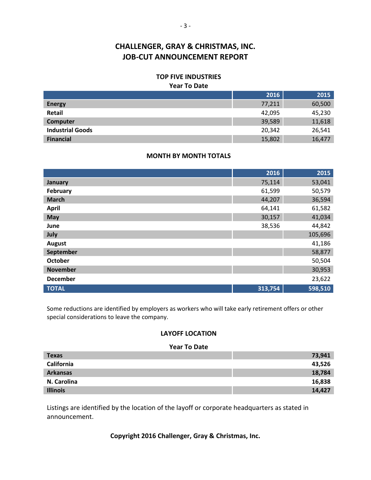#### **TOP FIVE INDUSTRIES**

#### **Year To Date**

|                         | 2016   | 2015   |
|-------------------------|--------|--------|
| <b>Energy</b>           | 77,211 | 60,500 |
| Retail                  | 42,095 | 45,230 |
| Computer                | 39,589 | 11,618 |
| <b>Industrial Goods</b> | 20,342 | 26,541 |
| <b>Financial</b>        | 15,802 | 16,477 |

#### **MONTH BY MONTH TOTALS**

|                 | 2016    | 2015    |
|-----------------|---------|---------|
| January         | 75,114  | 53,041  |
| February        | 61,599  | 50,579  |
| <b>March</b>    | 44,207  | 36,594  |
| <b>April</b>    | 64,141  | 61,582  |
| May             | 30,157  | 41,034  |
| June            | 38,536  | 44,842  |
| July            |         | 105,696 |
| <b>August</b>   |         | 41,186  |
| September       |         | 58,877  |
| <b>October</b>  |         | 50,504  |
| <b>November</b> |         | 30,953  |
| <b>December</b> |         | 23,622  |
| <b>TOTAL</b>    | 313,754 | 598,510 |

Some reductions are identified by employers as workers who will take early retirement offers or other special considerations to leave the company.

#### **LAYOFF LOCATION**

#### **Year To Date**

| <b>Texas</b>    | 73,941 |
|-----------------|--------|
| California      | 43,526 |
| <b>Arkansas</b> | 18,784 |
| N. Carolina     | 16,838 |
| <b>Illinois</b> | 14,427 |

Listings are identified by the location of the layoff or corporate headquarters as stated in announcement.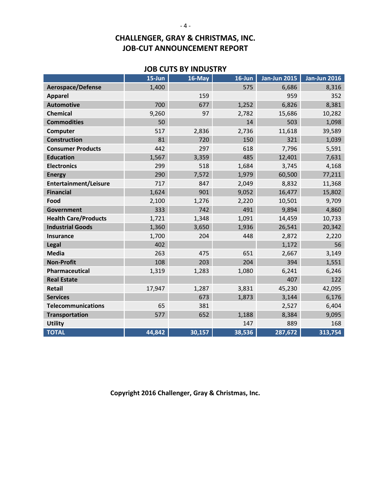### **JOB CUTS BY INDUSTRY**

|                             | $15 - Jun$ | 16-May | $16$ -Jun | <b>Jan-Jun 2015</b> | <b>Jan-Jun 2016</b> |
|-----------------------------|------------|--------|-----------|---------------------|---------------------|
| <b>Aerospace/Defense</b>    | 1,400      |        | 575       | 6,686               | 8,316               |
| <b>Apparel</b>              |            | 159    |           | 959                 | 352                 |
| <b>Automotive</b>           | 700        | 677    | 1,252     | 6,826               | 8,381               |
| <b>Chemical</b>             | 9,260      | 97     | 2,782     | 15,686              | 10,282              |
| <b>Commodities</b>          | 50         |        | 14        | 503                 | 1,098               |
| Computer                    | 517        | 2,836  | 2,736     | 11,618              | 39,589              |
| <b>Construction</b>         | 81         | 720    | 150       | 321                 | 1,039               |
| <b>Consumer Products</b>    | 442        | 297    | 618       | 7,796               | 5,591               |
| <b>Education</b>            | 1,567      | 3,359  | 485       | 12,401              | 7,631               |
| <b>Electronics</b>          | 299        | 518    | 1,684     | 3,745               | 4,168               |
| <b>Energy</b>               | 290        | 7,572  | 1,979     | 60,500              | 77,211              |
| Entertainment/Leisure       | 717        | 847    | 2,049     | 8,832               | 11,368              |
| <b>Financial</b>            | 1,624      | 901    | 9,052     | 16,477              | 15,802              |
| Food                        | 2,100      | 1,276  | 2,220     | 10,501              | 9,709               |
| Government                  | 333        | 742    | 491       | 9,894               | 4,860               |
| <b>Health Care/Products</b> | 1,721      | 1,348  | 1,091     | 14,459              | 10,733              |
| <b>Industrial Goods</b>     | 1,360      | 3,650  | 1,936     | 26,541              | 20,342              |
| <b>Insurance</b>            | 1,700      | 204    | 448       | 2,872               | 2,220               |
| <b>Legal</b>                | 402        |        |           | 1,172               | 56                  |
| <b>Media</b>                | 263        | 475    | 651       | 2,667               | 3,149               |
| <b>Non-Profit</b>           | 108        | 203    | 204       | 394                 | 1,551               |
| <b>Pharmaceutical</b>       | 1,319      | 1,283  | 1,080     | 6,241               | 6,246               |
| <b>Real Estate</b>          |            |        |           | 407                 | 122                 |
| Retail                      | 17,947     | 1,287  | 3,831     | 45,230              | 42,095              |
| <b>Services</b>             |            | 673    | 1,873     | 3,144               | 6,176               |
| <b>Telecommunications</b>   | 65         | 381    |           | 2,527               | 6,404               |
| <b>Transportation</b>       | 577        | 652    | 1,188     | 8,384               | 9,095               |
| <b>Utility</b>              |            |        | 147       | 889                 | 168                 |
| <b>TOTAL</b>                | 44,842     | 30,157 | 38,536    | 287,672             | 313,754             |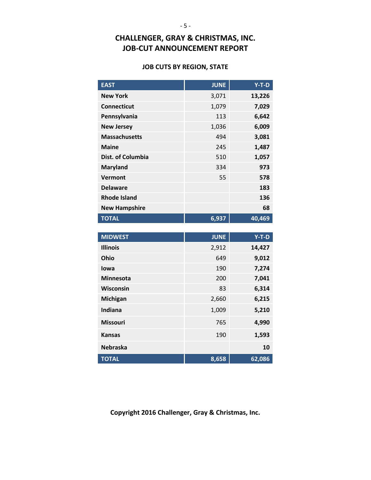#### **JOB CUTS BY REGION, STATE**

| <b>EAST</b>          | <b>JUNE</b> | $Y-T-D$ |
|----------------------|-------------|---------|
| <b>New York</b>      | 3,071       | 13,226  |
| <b>Connecticut</b>   | 1,079       | 7,029   |
| Pennsylvania         | 113         | 6,642   |
| <b>New Jersey</b>    | 1,036       | 6,009   |
| <b>Massachusetts</b> | 494         | 3,081   |
| <b>Maine</b>         | 245         | 1,487   |
| Dist. of Columbia    | 510         | 1,057   |
| <b>Maryland</b>      | 334         | 973     |
| Vermont              | 55          | 578     |
| <b>Delaware</b>      |             | 183     |
| <b>Rhode Island</b>  |             | 136     |
| <b>New Hampshire</b> |             | 68      |
| <b>TOTAL</b>         | 6,937       | 40,469  |
|                      |             |         |

| <b>MIDWEST</b>   | <b>JUNE</b> | $Y-T-D$ |
|------------------|-------------|---------|
| <b>Illinois</b>  | 2,912       | 14,427  |
| Ohio             | 649         | 9,012   |
| lowa             | 190         | 7,274   |
| <b>Minnesota</b> | 200         | 7,041   |
| <b>Wisconsin</b> | 83          | 6,314   |
| Michigan         | 2,660       | 6,215   |
| Indiana          | 1,009       | 5,210   |
| <b>Missouri</b>  | 765         | 4,990   |
| <b>Kansas</b>    | 190         | 1,593   |
| <b>Nebraska</b>  |             | 10      |
| <b>TOTAL</b>     | 8,658       | 62,086  |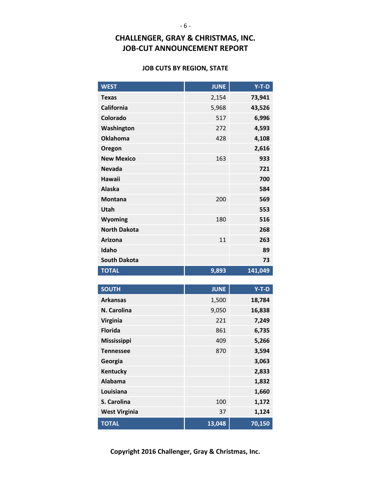#### **JOB CUTS BY REGION, STATE**

| <b>WEST</b>          | <b>JUNE</b> | $Y-T-D$ |
|----------------------|-------------|---------|
| <b>Texas</b>         | 2,154       | 73,941  |
| <b>California</b>    | 5,968       | 43,526  |
| Colorado             | 517         | 6,996   |
| Washington           | 272         | 4,593   |
| <b>Oklahoma</b>      | 428         | 4,108   |
| Oregon               |             | 2,616   |
| <b>New Mexico</b>    | 163         | 933     |
| <b>Nevada</b>        |             | 721     |
| <b>Hawaii</b>        |             | 700     |
| <b>Alaska</b>        |             | 584     |
| <b>Montana</b>       | 200         | 569     |
| Utah                 |             | 553     |
| <b>Wyoming</b>       | 180         | 516     |
| <b>North Dakota</b>  |             | 268     |
| <b>Arizona</b>       | 11          | 263     |
| Idaho                |             | 89      |
| <b>South Dakota</b>  |             | 73      |
| <b>TOTAL</b>         | 9,893       | 141,049 |
|                      |             |         |
| <b>SOUTH</b>         | <b>JUNE</b> | $Y-T-D$ |
| <b>Arkansas</b>      | 1,500       | 18,784  |
| N. Carolina          |             |         |
|                      | 9,050       | 16,838  |
| <b>Virginia</b>      | 221         | 7,249   |
| <b>Florida</b>       | 861         | 6,735   |
| <b>Mississippi</b>   | 409         | 5,266   |
| <b>Tennessee</b>     | 870         | 3,594   |
| Georgia              |             | 3,063   |
| Kentucky             |             | 2,833   |
| <b>Alabama</b>       |             | 1,832   |
| Louisiana            |             | 1,660   |
| S. Carolina          | 100         | 1,172   |
| <b>West Virginia</b> | 37          | 1,124   |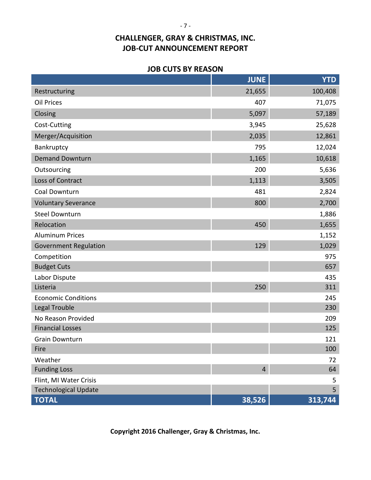### **JOB CUTS BY REASON**

|                              | <b>JUNE</b>    | <b>YTD</b> |
|------------------------------|----------------|------------|
| Restructuring                | 21,655         | 100,408    |
| <b>Oil Prices</b>            | 407            | 71,075     |
| Closing                      | 5,097          | 57,189     |
| Cost-Cutting                 | 3,945          | 25,628     |
| Merger/Acquisition           | 2,035          | 12,861     |
| Bankruptcy                   | 795            | 12,024     |
| <b>Demand Downturn</b>       | 1,165          | 10,618     |
| Outsourcing                  | 200            | 5,636      |
| Loss of Contract             | 1,113          | 3,505      |
| Coal Downturn                | 481            | 2,824      |
| <b>Voluntary Severance</b>   | 800            | 2,700      |
| <b>Steel Downturn</b>        |                | 1,886      |
| Relocation                   | 450            | 1,655      |
| <b>Aluminum Prices</b>       |                | 1,152      |
| <b>Government Regulation</b> | 129            | 1,029      |
| Competition                  |                | 975        |
| <b>Budget Cuts</b>           |                | 657        |
| Labor Dispute                |                | 435        |
| Listeria                     | 250            | 311        |
| <b>Economic Conditions</b>   |                | 245        |
| Legal Trouble                |                | 230        |
| No Reason Provided           |                | 209        |
| <b>Financial Losses</b>      |                | 125        |
| <b>Grain Downturn</b>        |                | 121<br>100 |
| Fire<br>Weather              |                |            |
| <b>Funding Loss</b>          | $\overline{4}$ | 72<br>64   |
| Flint, MI Water Crisis       |                | 5          |
| <b>Technological Update</b>  |                | 5          |
| <b>TOTAL</b>                 | 38,526         | 313,744    |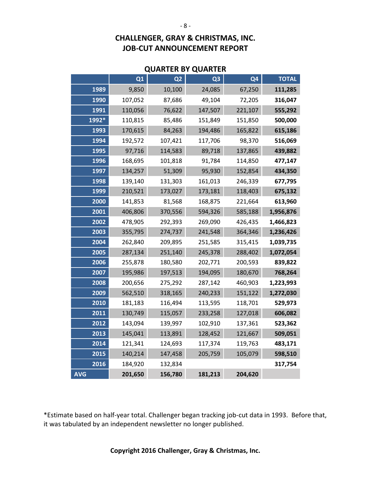| <b>QUARTER BY QUARTER</b> |  |  |  |
|---------------------------|--|--|--|
|---------------------------|--|--|--|

|            | Q1      | Q <sub>2</sub> | Q <sub>3</sub> | Q <sub>4</sub> | <b>TOTAL</b> |
|------------|---------|----------------|----------------|----------------|--------------|
| 1989       | 9,850   | 10,100         | 24,085         | 67,250         | 111,285      |
| 1990       | 107,052 | 87,686         | 49,104         | 72,205         | 316,047      |
| 1991       | 110,056 | 76,622         | 147,507        | 221,107        | 555,292      |
| 1992*      | 110,815 | 85,486         | 151,849        | 151,850        | 500,000      |
| 1993       | 170,615 | 84,263         | 194,486        | 165,822        | 615,186      |
| 1994       | 192,572 | 107,421        | 117,706        | 98,370         | 516,069      |
| 1995       | 97,716  | 114,583        | 89,718         | 137,865        | 439,882      |
| 1996       | 168,695 | 101,818        | 91,784         | 114,850        | 477,147      |
| 1997       | 134,257 | 51,309         | 95,930         | 152,854        | 434,350      |
| 1998       | 139,140 | 131,303        | 161,013        | 246,339        | 677,795      |
| 1999       | 210,521 | 173,027        | 173,181        | 118,403        | 675,132      |
| 2000       | 141,853 | 81,568         | 168,875        | 221,664        | 613,960      |
| 2001       | 406,806 | 370,556        | 594,326        | 585,188        | 1,956,876    |
| 2002       | 478,905 | 292,393        | 269,090        | 426,435        | 1,466,823    |
| 2003       | 355,795 | 274,737        | 241,548        | 364,346        | 1,236,426    |
| 2004       | 262,840 | 209,895        | 251,585        | 315,415        | 1,039,735    |
| 2005       | 287,134 | 251,140        | 245,378        | 288,402        | 1,072,054    |
| 2006       | 255,878 | 180,580        | 202,771        | 200,593        | 839,822      |
| 2007       | 195,986 | 197,513        | 194,095        | 180,670        | 768,264      |
| 2008       | 200,656 | 275,292        | 287,142        | 460,903        | 1,223,993    |
| 2009       | 562,510 | 318,165        | 240,233        | 151,122        | 1,272,030    |
| 2010       | 181,183 | 116,494        | 113,595        | 118,701        | 529,973      |
| 2011       | 130,749 | 115,057        | 233,258        | 127,018        | 606,082      |
| 2012       | 143,094 | 139,997        | 102,910        | 137,361        | 523,362      |
| 2013       | 145,041 | 113,891        | 128,452        | 121,667        | 509,051      |
| 2014       | 121,341 | 124,693        | 117,374        | 119,763        | 483,171      |
| 2015       | 140,214 | 147,458        | 205,759        | 105,079        | 598,510      |
| 2016       | 184,920 | 132,834        |                |                | 317,754      |
| <b>AVG</b> | 201,650 | 156,780        | 181,213        | 204,620        |              |

\*Estimate based on half-year total. Challenger began tracking job-cut data in 1993. Before that, it was tabulated by an independent newsletter no longer published.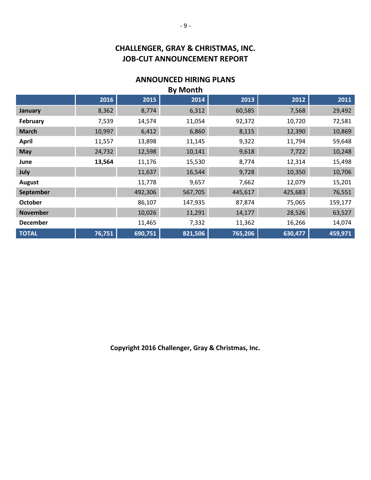### **ANNOUNCED HIRING PLANS**

| <b>By Month</b> |        |         |         |         |         |         |
|-----------------|--------|---------|---------|---------|---------|---------|
|                 | 2016   | 2015    | 2014    | 2013    | 2012    | 2011    |
| January         | 8,362  | 8,774   | 6,312   | 60,585  | 7,568   | 29,492  |
| February        | 7,539  | 14,574  | 11,054  | 92,372  | 10,720  | 72,581  |
| <b>March</b>    | 10,997 | 6,412   | 6,860   | 8,115   | 12,390  | 10,869  |
| <b>April</b>    | 11,557 | 13,898  | 11,145  | 9,322   | 11,794  | 59,648  |
| <b>May</b>      | 24,732 | 12,598  | 10,141  | 9,618   | 7,722   | 10,248  |
| June            | 13,564 | 11,176  | 15,530  | 8,774   | 12,314  | 15,498  |
| July            |        | 11,637  | 16,544  | 9,728   | 10,350  | 10,706  |
| <b>August</b>   |        | 11,778  | 9,657   | 7,662   | 12,079  | 15,201  |
| September       |        | 492,306 | 567,705 | 445,617 | 425,683 | 76,551  |
| <b>October</b>  |        | 86,107  | 147,935 | 87,874  | 75,065  | 159,177 |
| <b>November</b> |        | 10,026  | 11,291  | 14,177  | 28,526  | 63,527  |
| <b>December</b> |        | 11,465  | 7,332   | 11,362  | 16,266  | 14,074  |
| <b>TOTAL</b>    | 76,751 | 690,751 | 821,506 | 765,206 | 630,477 | 459,971 |